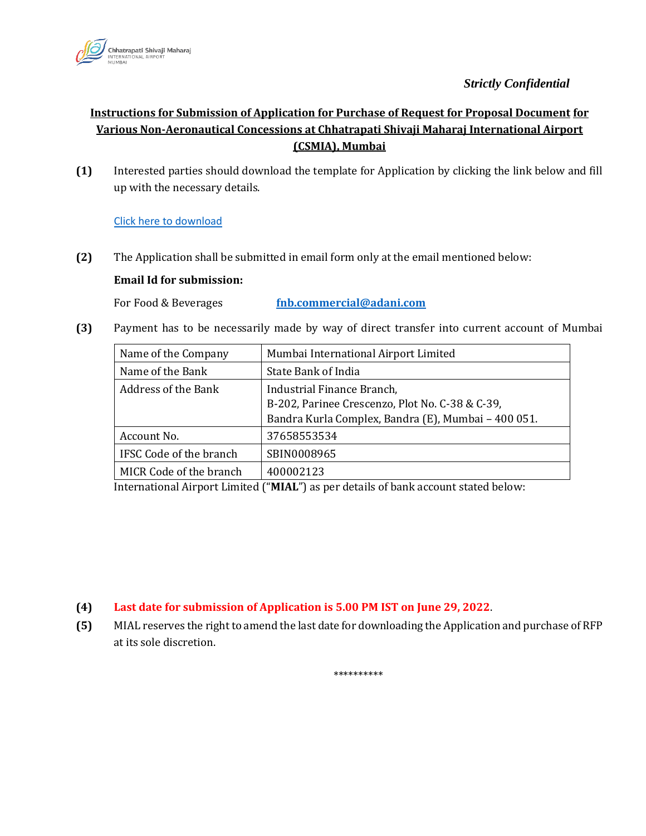

## *Strictly Confidential*

# **Instructions for Submission of Application for Purchase of Request for Proposal Document for Various Non-Aeronautical Concessions at Chhatrapati Shivaji Maharaj International Airport (CSMIA), Mumbai**

**(1)** Interested parties should download the template for Application by clicking the link below and fill up with the necessary details.

## [Click here to download](https://csmia.adaniairports.com/bizpressrelease/CommercialOpportunities/Application_for_Purchase_16_6_22_2.pdf)

**(2)** The Application shall be submitted in email form only at the email mentioned below:

### **Email Id for submission:**

For Food & Beverages **fnb.commercial@adani.com** 

**(3)** Payment has to be necessarily made by way of direct transfer into current account of Mumbai

| Name of the Company        | Mumbai International Airport Limited                |
|----------------------------|-----------------------------------------------------|
| Name of the Bank           | State Bank of India                                 |
| <b>Address of the Bank</b> | Industrial Finance Branch,                          |
|                            | B-202, Parinee Crescenzo, Plot No. C-38 & C-39,     |
|                            | Bandra Kurla Complex, Bandra (E), Mumbai - 400 051. |
| Account No.                | 37658553534                                         |
| IFSC Code of the branch    | SBIN0008965                                         |
| MICR Code of the branch    | 400002123                                           |

International Airport Limited ("**MIAL**") as per details of bank account stated below:

### **(4) Last date for submission of Application is 5.00 PM IST on June 29, 2022**.

**(5)** MIAL reserves the right to amend the last date for downloading the Application and purchase of RFP at its sole discretion.

\*\*\*\*\*\*\*\*\*\*